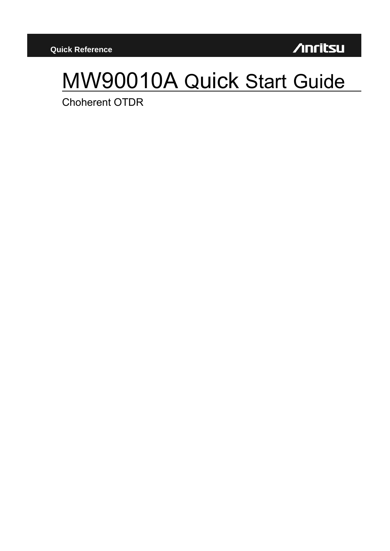**/Inritsu** 

# MW90010A Quick Start Guide

**Choherent OTDR**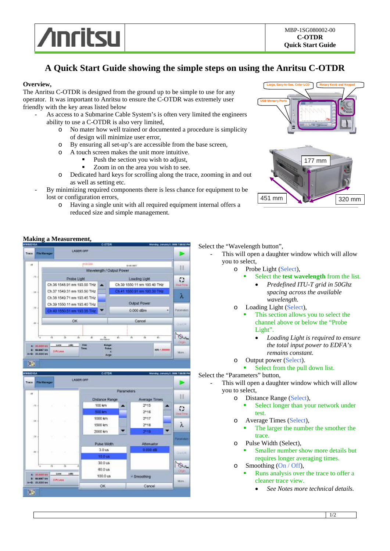

# **A Quick Start Guide showing the simple steps on using the Anritsu C-OTDR**

# **Overview,**

The Anritsu C-OTDR is designed from the ground up to be simple to use for any operator. It was important to Anritsu to ensure the C-OTDR was extremely user friendly with the key areas listed below

- As access to a Submarine Cable System's is often very limited the engineers ability to use a C-OTDR is also very limited,
	- o No mater how well trained or documented a procedure is simplicity of design will minimize user error,
	- o By ensuring all set-up's are accessible from the base screen,
	- o A touch screen makes the unit more intuitive.
		- Push the section you wish to adjust,
		- Zoom in on the area you wish to see.
	- o Dedicated hard keys for scrolling along the trace, zooming in and out as well as setting etc.
- By minimizing required components there is less chance for equipment to be lost or configuration errors,
	- o Having a single unit with all required equipment internal offers a reduced size and simple management.



# **Making a Measurement,**

#### LASED OFF Trace ä  $\mathbf{1}$ Wavelength / Output Power S. Probe Light Loading Light  $\mathfrak{O}$ Ch 36 1548 91 nm 193 55 THz Ch.39 1550.11 nm 193.40 THz Ch 37 1549 31 nm 193 50 THz Ch.41 1550 S1 nm 193.30 THz λ Ch.38 1549.71 nm 193.45 THz Output Power Ch.39 1550.11 nm 193.40 THz  $^{16}$ Ch.40 1550.51 nm 193.35 THz 0.000 dBm OK Cancel **But** Range<br>Pulse  $140$ **GRAND In** 108:1780  $2 - 3 + 1.001$ bir A-8: 00,8000 km Avg  $0.3$



Select the "Wavelength button",

- This will open a daughter window which will allow you to select,
	- o Probe Light (Select),
		- Select the **test wavelength** from the list.
			- *Predefined ITU-T grid in 50Ghz spacing across the available wavelength.*
	- o Loading Light (Select),
		- This section allows you to select the channel above or below the "Probe Light".
			- *Loading Light is required to ensure the total input power to EDFA's remains constant.*
	- o Output power (Select).
		- Select from the pull down list.

# Select the "Parameters" button,

- This will open a daughter window which will allow you to select,
	- o Distance Range (Select),
		- Select longer than your network under test.
	- o Average Times (Select),
		- The larger the number the smother the trace.
	- o Pulse Width (Select),
		- Smaller number show more details but requires longer averaging times.
	- $\circ$  Smoothing (On / Off),
		- Runs analysis over the trace to offer a cleaner trace view.
			- *See Notes more technical details.*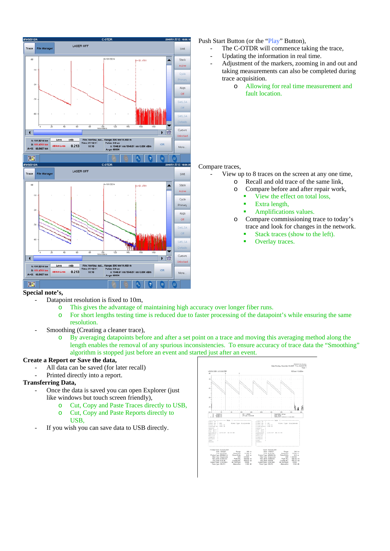

# Push Start Button (or the "Play" Button),

- The C-OTDR will commence taking the trace,
- Updating the information in real time.
- Adjustment of the markers, zooming in and out and taking measurements can also be completed during trace acquisition.
	- o Allowing for real time measurement and fault location.

#### Compare traces,

- View up to 8 traces on the screen at any one time, o Recall and old trace of the same link,
	- o Compare before and after repair work,
		- View the effect on total loss,
		- Extra length,
		- Amplifications values.
	- o Compare commissioning trace to today's trace and look for changes in the network.
		- Stack traces (show to the left).
		- Overlay traces.

# **Special note's,**

- Datapoint resolution is fixed to 10m,
	- o This gives the advantage of maintaining high accuracy over longer fiber runs.
	- o For short lengths testing time is reduced due to faster processing of the datapoint's while ensuring the same resolution.
	- Smoothing (Creating a cleaner trace),
		- o By averaging datapoints before and after a set point on a trace and moving this averaging method along the length enables the removal of any spurious inconsistencies. To ensure accuracy of trace data the "Smoothing" algorithm is stopped just before an event and started just after an event.

# **Create a Report or Save the data,**

- All data can be saved (for later recall)
- Printed directly into a report.

# **Transferring Data,**

- Once the data is saved you can open Explorer (just like windows but touch screen friendly),
	- o Cut, Copy and Paste Traces directly to USB,
	- o Cut, Copy and Paste Reports directly to USB,
- If you wish you can save data to USB directly.